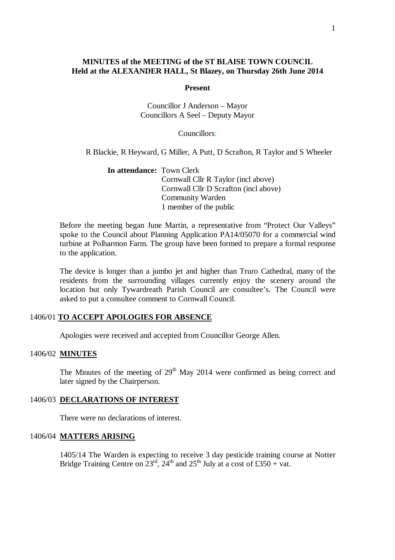## **MINUTES of the MEETING of the ST BLAISE TOWN COUNCIL Held at the ALEXANDER HALL, St Blazey, on Thursday 26th June 2014**

#### **Present**

Councillor J Anderson – Mayor Councillors A Seel – Deputy Mayor

Councillors:

R Blackie, R Heyward, G Miller, A Putt, D Scrafton, R Taylor and S Wheeler

**In attendance:** Town Clerk Cornwall Cllr R Taylor (incl above) Cornwall Cllr D Scrafton (incl above) Community Warden 1 member of the public

Before the meeting began June Martin, a representative from "Protect Our Valleys" spoke to the Council about Planning Application PA14/05070 for a commercial wind turbine at Polharmon Farm. The group have been formed to prepare a formal response to the application.

The device is longer than a jumbo jet and higher than Truro Cathedral, many of the residents from the surrounding villages currently enjoy the scenery around the location but only Tywardreath Parish Council are consultee's. The Council were asked to put a consultee comment to Cornwall Council.

## 1406/01 **TO ACCEPT APOLOGIES FOR ABSENCE**

Apologies were received and accepted from Councillor George Allen.

## 1406/02 **MINUTES**

The Minutes of the meeting of  $29<sup>th</sup>$  May 2014 were confirmed as being correct and later signed by the Chairperson.

#### 1406/03 **DECLARATIONS OF INTEREST**

There were no declarations of interest.

### 1406/04 **MATTERS ARISING**

1405/14 The Warden is expecting to receive 3 day pesticide training course at Notter Bridge Training Centre on  $23<sup>rd</sup>$ ,  $24<sup>th</sup>$  and  $25<sup>th</sup>$  July at a cost of £350 + vat.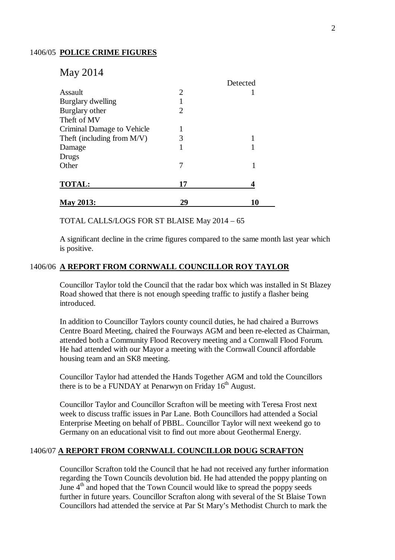## 1406/05 **POLICE CRIME FIGURES**

# May 2014

|                            |                | Detected |
|----------------------------|----------------|----------|
| Assault                    | $\overline{2}$ |          |
| Burglary dwelling          |                |          |
| Burglary other             | 2              |          |
| Theft of MV                |                |          |
| Criminal Damage to Vehicle |                |          |
| Theft (including from M/V) | 3              |          |
| Damage                     |                |          |
| Drugs                      |                |          |
| Other                      |                |          |
| <b>TOTAL:</b>              | 17             |          |
| <b>May 2013:</b>           | 29             | 10       |

TOTAL CALLS/LOGS FOR ST BLAISE May 2014 – 65

A significant decline in the crime figures compared to the same month last year which is positive.

## 1406/06 **A REPORT FROM CORNWALL COUNCILLOR ROY TAYLOR**

Councillor Taylor told the Council that the radar box which was installed in St Blazey Road showed that there is not enough speeding traffic to justify a flasher being introduced.

In addition to Councillor Taylors county council duties, he had chaired a Burrows Centre Board Meeting, chaired the Fourways AGM and been re-elected as Chairman, attended both a Community Flood Recovery meeting and a Cornwall Flood Forum. He had attended with our Mayor a meeting with the Cornwall Council affordable housing team and an SK8 meeting.

Councillor Taylor had attended the Hands Together AGM and told the Councillors there is to be a FUNDAY at Penarwyn on Friday  $16<sup>th</sup>$  August.

Councillor Taylor and Councillor Scrafton will be meeting with Teresa Frost next week to discuss traffic issues in Par Lane. Both Councillors had attended a Social Enterprise Meeting on behalf of PBBL. Councillor Taylor will next weekend go to Germany on an educational visit to find out more about Geothermal Energy.

## 1406/07 **A REPORT FROM CORNWALL COUNCILLOR DOUG SCRAFTON**

Councillor Scrafton told the Council that he had not received any further information regarding the Town Councils devolution bid. He had attended the poppy planting on June  $4<sup>th</sup>$  and hoped that the Town Council would like to spread the poppy seeds further in future years. Councillor Scrafton along with several of the St Blaise Town Councillors had attended the service at Par St Mary's Methodist Church to mark the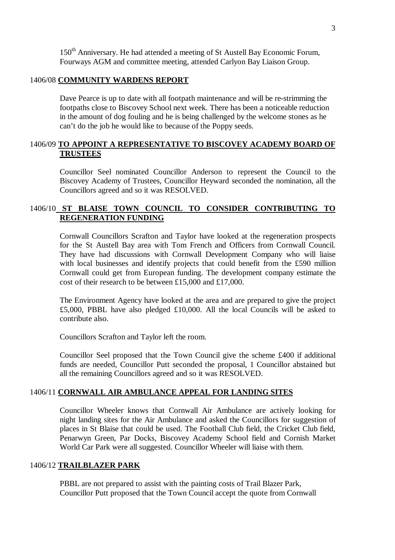150<sup>th</sup> Anniversary. He had attended a meeting of St Austell Bay Economic Forum, Fourways AGM and committee meeting, attended Carlyon Bay Liaison Group.

## 1406/08 **COMMUNITY WARDENS REPORT**

Dave Pearce is up to date with all footpath maintenance and will be re-strimming the footpaths close to Biscovey School next week. There has been a noticeable reduction in the amount of dog fouling and he is being challenged by the welcome stones as he can't do the job he would like to because of the Poppy seeds.

## 1406/09 **TO APPOINT A REPRESENTATIVE TO BISCOVEY ACADEMY BOARD OF TRUSTEES**

Councillor Seel nominated Councillor Anderson to represent the Council to the Biscovey Academy of Trustees, Councillor Heyward seconded the nomination, all the Councillors agreed and so it was RESOLVED.

## 1406/10 **ST BLAISE TOWN COUNCIL TO CONSIDER CONTRIBUTING TO REGENERATION FUNDING**

Cornwall Councillors Scrafton and Taylor have looked at the regeneration prospects for the St Austell Bay area with Tom French and Officers from Cornwall Council. They have had discussions with Cornwall Development Company who will liaise with local businesses and identify projects that could benefit from the £590 million Cornwall could get from European funding. The development company estimate the cost of their research to be between £15,000 and £17,000.

The Environment Agency have looked at the area and are prepared to give the project £5,000, PBBL have also pledged £10,000. All the local Councils will be asked to contribute also.

Councillors Scrafton and Taylor left the room.

Councillor Seel proposed that the Town Council give the scheme £400 if additional funds are needed, Councillor Putt seconded the proposal, 1 Councillor abstained but all the remaining Councillors agreed and so it was RESOLVED.

#### 1406/11 **CORNWALL AIR AMBULANCE APPEAL FOR LANDING SITES**

Councillor Wheeler knows that Cornwall Air Ambulance are actively looking for night landing sites for the Air Ambulance and asked the Councillors for suggestion of places in St Blaise that could be used. The Football Club field, the Cricket Club field, Penarwyn Green, Par Docks, Biscovey Academy School field and Cornish Market World Car Park were all suggested. Councillor Wheeler will liaise with them.

## 1406/12 **TRAILBLAZER PARK**

PBBL are not prepared to assist with the painting costs of Trail Blazer Park, Councillor Putt proposed that the Town Council accept the quote from Cornwall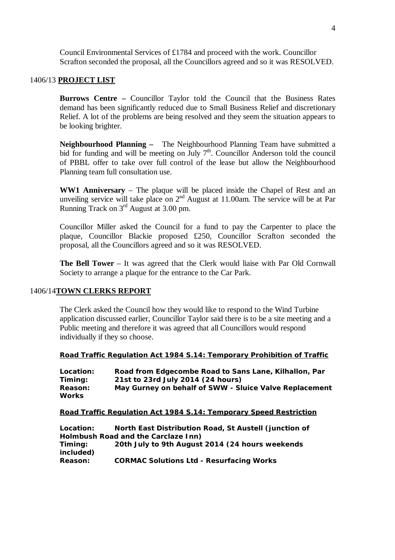Council Environmental Services of £1784 and proceed with the work. Councillor Scrafton seconded the proposal, all the Councillors agreed and so it was RESOLVED.

## 1406/13 **PROJECT LIST**

**Burrows Centre –** Councillor Taylor told the Council that the Business Rates demand has been significantly reduced due to Small Business Relief and discretionary Relief. A lot of the problems are being resolved and they seem the situation appears to be looking brighter.

**Neighbourhood Planning –** The Neighbourhood Planning Team have submitted a bid for funding and will be meeting on July  $7<sup>th</sup>$ . Councillor Anderson told the council of PBBL offer to take over full control of the lease but allow the Neighbourhood Planning team full consultation use.

**WW1 Anniversary** – The plaque will be placed inside the Chapel of Rest and an unveiling service will take place on  $2<sup>nd</sup>$  August at 11.00am. The service will be at Par Running Track on 3rd August at 3.00 pm.

Councillor Miller asked the Council for a fund to pay the Carpenter to place the plaque, Councillor Blackie proposed £250, Councillor Scrafton seconded the proposal, all the Councillors agreed and so it was RESOLVED.

**The Bell Tower** – It was agreed that the Clerk would liaise with Par Old Cornwall Society to arrange a plaque for the entrance to the Car Park.

#### 1406/14**TOWN CLERKS REPORT**

The Clerk asked the Council how they would like to respond to the Wind Turbine application discussed earlier, Councillor Taylor said there is to be a site meeting and a Public meeting and therefore it was agreed that all Councillors would respond individually if they so choose.

#### **Road Traffic Regulation Act 1984 S.14: Temporary Prohibition of Traffic**

| Location:    | Road from Edgecombe Road to Sans Lane, Kilhallon, Par  |
|--------------|--------------------------------------------------------|
| Timing:      | 21st to 23rd July 2014 (24 hours)                      |
| Reason:      | May Gurney on behalf of SWW - Sluice Valve Replacement |
| <b>Works</b> |                                                        |

#### **Road Traffic Regulation Act 1984 S.14: Temporary Speed Restriction**

**Location: North East Distribution Road, St Austell (junction of Holmbush Road and the Carclaze Inn) Timing: 20th July to 9th August 2014 (24 hours weekends included) Reason: CORMAC Solutions Ltd - Resurfacing Works**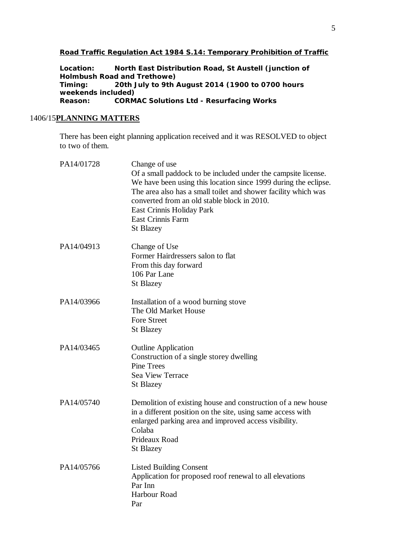## **Road Traffic Regulation Act 1984 S.14: Temporary Prohibition of Traffic**

**Location: North East Distribution Road, St Austell (junction of Holmbush Road and Trethowe) Timing: 20th July to 9th August 2014 (1900 to 0700 hours weekends included) Reason: CORMAC Solutions Ltd - Resurfacing Works**

## 1406/15**PLANNING MATTERS**

There has been eight planning application received and it was RESOLVED to object to two of them.

| PA14/01728 | Change of use<br>Of a small paddock to be included under the campsite license.<br>We have been using this location since 1999 during the eclipse.<br>The area also has a small toilet and shower facility which was<br>converted from an old stable block in 2010.<br>East Crinnis Holiday Park<br><b>East Crinnis Farm</b><br><b>St Blazey</b> |
|------------|-------------------------------------------------------------------------------------------------------------------------------------------------------------------------------------------------------------------------------------------------------------------------------------------------------------------------------------------------|
| PA14/04913 | Change of Use<br>Former Hairdressers salon to flat<br>From this day forward<br>106 Par Lane<br><b>St Blazey</b>                                                                                                                                                                                                                                 |
| PA14/03966 | Installation of a wood burning stove<br>The Old Market House<br><b>Fore Street</b><br><b>St Blazey</b>                                                                                                                                                                                                                                          |
| PA14/03465 | <b>Outline Application</b><br>Construction of a single storey dwelling<br><b>Pine Trees</b><br>Sea View Terrace<br><b>St Blazey</b>                                                                                                                                                                                                             |
| PA14/05740 | Demolition of existing house and construction of a new house<br>in a different position on the site, using same access with<br>enlarged parking area and improved access visibility.<br>Colaba<br>Prideaux Road<br><b>St Blazey</b>                                                                                                             |
| PA14/05766 | <b>Listed Building Consent</b><br>Application for proposed roof renewal to all elevations<br>Par Inn<br>Harbour Road<br>Par                                                                                                                                                                                                                     |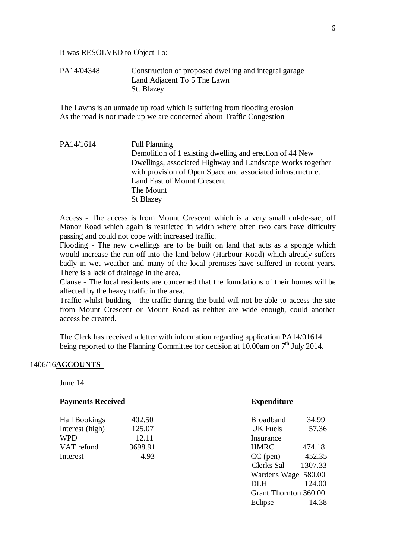It was RESOLVED to Object To:-

PA14/04348 Construction of proposed dwelling and integral garage Land Adjacent To 5 The Lawn St. Blazey

The Lawns is an unmade up road which is suffering from flooding erosion As the road is not made up we are concerned about Traffic Congestion

PA14/1614 Full Planning Demolition of 1 existing dwelling and erection of 44 New Dwellings, associated Highway and Landscape Works together with provision of Open Space and associated infrastructure. Land East of Mount Crescent The Mount St Blazey

Access - The access is from Mount Crescent which is a very small cul-de-sac, off Manor Road which again is restricted in width where often two cars have difficulty passing and could not cope with increased traffic.

Flooding - The new dwellings are to be built on land that acts as a sponge which would increase the run off into the land below (Harbour Road) which already suffers badly in wet weather and many of the local premises have suffered in recent years. There is a lack of drainage in the area.

Clause - The local residents are concerned that the foundations of their homes will be affected by the heavy traffic in the area.

Traffic whilst building - the traffic during the build will not be able to access the site from Mount Crescent or Mount Road as neither are wide enough, could another access be created.

The Clerk has received a letter with information regarding application PA14/01614 being reported to the Planning Committee for decision at  $10.00$ am on  $7<sup>th</sup>$  July 2014.

## 1406/16**ACCOUNTS**

June 14

## **Payments Received <b>Expenditure**

| <b>Hall Bookings</b> | 402.50  | <b>Broadband</b> | 34.99  |
|----------------------|---------|------------------|--------|
| Interest (high)      | 125.07  | UK Fuels         | 57.36  |
| WPD                  | 12.11   | Insurance        |        |
| VAT refund           | 3698.91 | <b>HMRC</b>      | 474.18 |
| Interest             | 4.93    | $CC$ (pen)       | 452.35 |

| <b>Broadband</b>      | 34.99   |
|-----------------------|---------|
| <b>UK</b> Fuels       | 57.36   |
| <b>Insurance</b>      |         |
| <b>HMRC</b>           | 474.18  |
| $CC$ (pen)            | 452.35  |
| <b>Clerks Sal</b>     | 1307.33 |
| Wardens Wage 580.00   |         |
| <b>DLH</b>            | 124.00  |
| Grant Thornton 360.00 |         |
| Eclipse               | 14.38   |